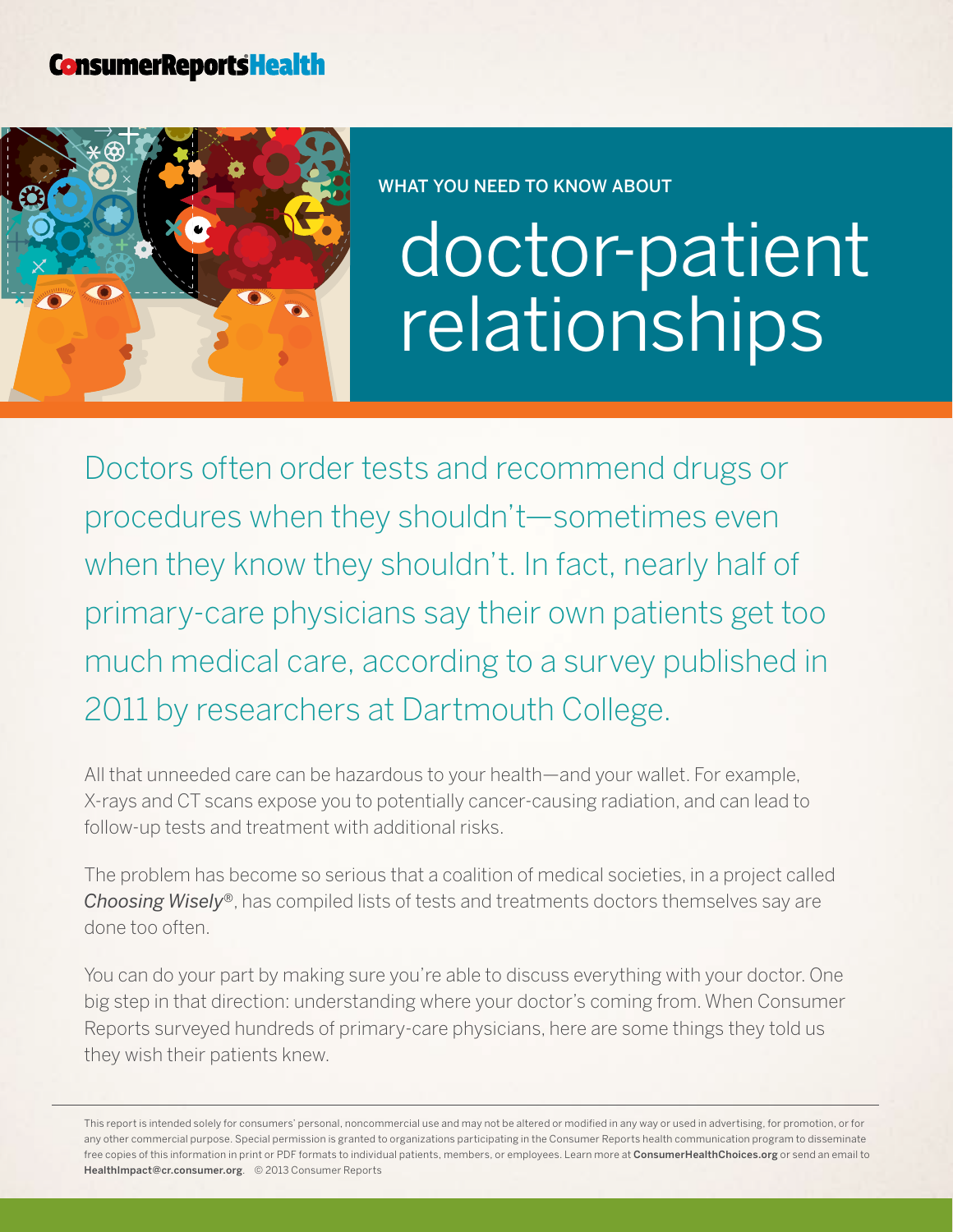## **ConsumerReportsHealth**



WHAT YOU NEED TO KNOW ABOUT

## doctor-patient relationships

Doctors often order tests and recommend drugs or procedures when they shouldn't—sometimes even when they know they shouldn't. In fact, nearly half of primary-care physicians say their own patients get too much medical care, according to a survey published in 2011 by researchers at Dartmouth College.

All that unneeded care can be hazardous to your health—and your wallet. For example, X-rays and CT scans expose you to potentially cancer-causing radiation, and can lead to follow-up tests and treatment with additional risks.

The problem has become so serious that a coalition of medical societies, in a project called *Choosing Wisely®*, has compiled lists of tests and treatments doctors themselves say are done too often.

You can do your part by making sure you're able to discuss everything with your doctor. One big step in that direction: understanding where your doctor's coming from. When Consumer Reports surveyed hundreds of primary-care physicians, here are some things they told us they wish their patients knew.

This report is intended solely for consumers' personal, noncommercial use and may not be altered or modified in any way or used in advertising, for promotion, or for any other commercial purpose. Special permission is granted to organizations participating in the Consumer Reports health communication program to disseminate free copies of this information in print or PDF formats to individual patients, members, or employees. Learn more at [ConsumerHealthChoices.org](http://www.ConsumerHealthChoices.org) or send an email to HealthImpact@cr.consumer.org. © 2013 Consumer Reports